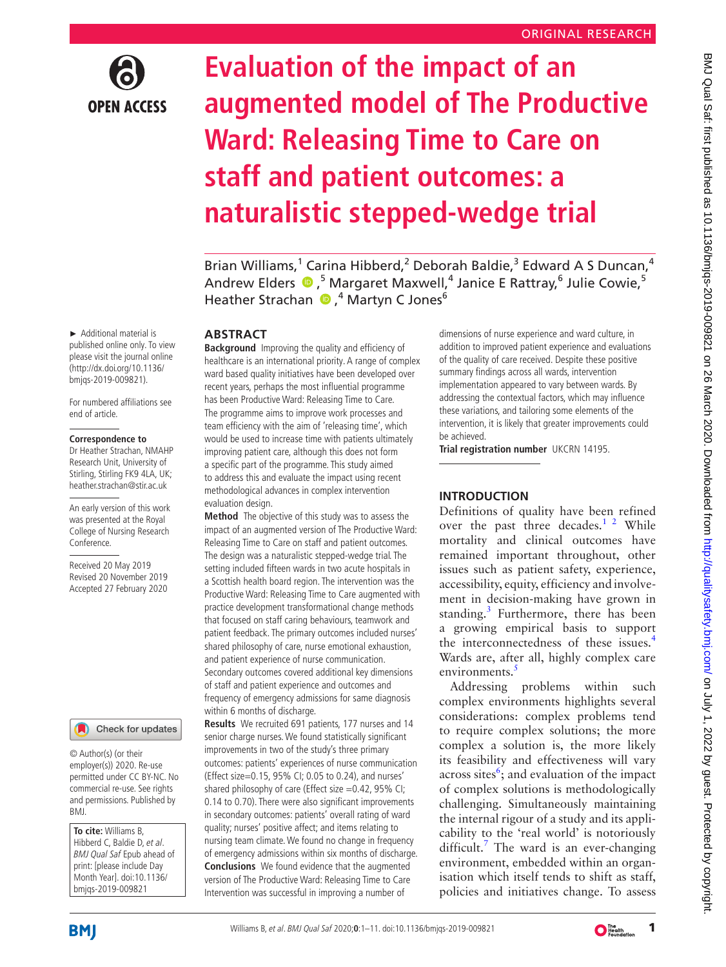

# **Evaluation of the impact of an augmented model of The Productive Ward: Releasing Time to Care on staff and patient outcomes: a naturalistic stepped-wedge trial**

Brian Williams,<sup>1</sup> Carina Hibberd,<sup>2</sup> Deborah Baldie,<sup>3</sup> Edward A S Duncan,<sup>4</sup> AndrewElders  $\bigcirc$ , <sup>5</sup> Margaret Maxwell, <sup>4</sup> Janice E Rattray, <sup>6</sup> Julie Cowie, 5 HeatherStrachan (D, <sup>4</sup> Martyn C Jones<sup>6</sup>

## **ABSTRACT**

**Background** Improving the quality and efficiency of healthcare is an international priority. A range of complex ward based quality initiatives have been developed over recent years, perhaps the most influential programme has been Productive Ward: Releasing Time to Care. The programme aims to improve work processes and team efficiency with the aim of 'releasing time', which would be used to increase time with patients ultimately improving patient care, although this does not form a specific part of the programme. This study aimed to address this and evaluate the impact using recent methodological advances in complex intervention evaluation design.

**Method** The objective of this study was to assess the impact of an augmented version of The Productive Ward: Releasing Time to Care on staff and patient outcomes. The design was a naturalistic stepped-wedge trial. The setting included fifteen wards in two acute hospitals in a Scottish health board region. The intervention was the Productive Ward: Releasing Time to Care augmented with practice development transformational change methods that focused on staff caring behaviours, teamwork and patient feedback. The primary outcomes included nurses' shared philosophy of care, nurse emotional exhaustion, and patient experience of nurse communication. Secondary outcomes covered additional key dimensions of staff and patient experience and outcomes and frequency of emergency admissions for same diagnosis within 6 months of discharge.

**Results** We recruited 691 patients, 177 nurses and 14 senior charge nurses. We found statistically significant improvements in two of the study's three primary outcomes: patients' experiences of nurse communication (Effect size=0.15, 95% CI; 0.05 to 0.24), and nurses' shared philosophy of care (Effect size =0.42, 95% CI; 0.14 to 0.70). There were also significant improvements in secondary outcomes: patients' overall rating of ward quality; nurses' positive affect; and items relating to nursing team climate. We found no change in frequency of emergency admissions within six months of discharge. **Conclusions** We found evidence that the augmented version of The Productive Ward: Releasing Time to Care Intervention was successful in improving a number of

dimensions of nurse experience and ward culture, in addition to improved patient experience and evaluations of the quality of care received. Despite these positive summary findings across all wards, intervention implementation appeared to vary between wards. By addressing the contextual factors, which may influence these variations, and tailoring some elements of the intervention, it is likely that greater improvements could be achieved.

**Trial registration number** UKCRN 14195.

# **Introduction**

Definitions of quality have been refined over the past three decades.<sup>[1 2](#page-9-0)</sup> While mortality and clinical outcomes have remained important throughout, other issues such as patient safety, experience, accessibility, equity, efficiency and involvement in decision-making have grown in standing.<sup>3</sup> Furthermore, there has been a growing empirical basis to support the interconnectedness of these issues.<sup>[4](#page-9-2)</sup> Wards are, after all, highly complex care environments.<sup>[5](#page-9-3)</sup>

Addressing problems within such complex environments highlights several considerations: complex problems tend to require complex solutions; the more complex a solution is, the more likely its feasibility and effectiveness will vary across sites<sup>[6](#page-9-4)</sup>; and evaluation of the impact of complex solutions is methodologically challenging. Simultaneously maintaining the internal rigour of a study and its applicability to the 'real world' is notoriously difficult.<sup>7</sup> The ward is an ever-changing environment, embedded within an organisation which itself tends to shift as staff, policies and initiatives change. To assess

► Additional material is published online only. To view please visit the journal online (http://dx.doi.org/10.1136/ bmjqs-2019-009821).

For numbered affiliations see end of article.

#### **Correspondence to**

Dr Heather Strachan, NMAHP Research Unit, University of Stirling, Stirling FK9 4LA, UK; heather.strachan@stir.ac.uk

An early version of this work was presented at the Royal College of Nursing Research Conference.

Received 20 May 2019 Revised 20 November 2019 Accepted 27 February 2020

#### Check for updates

© Author(s) (or their employer(s)) 2020. Re-use permitted under CC BY-NC. No commercial re-use. See rights and permissions. Published by BMJ.

**To cite:** Williams B, Hibberd C, Baldie D, et al. BMJ Qual Saf Epub ahead of print: [please include Day Month Year]. doi:10.1136/ bmjqs-2019-009821

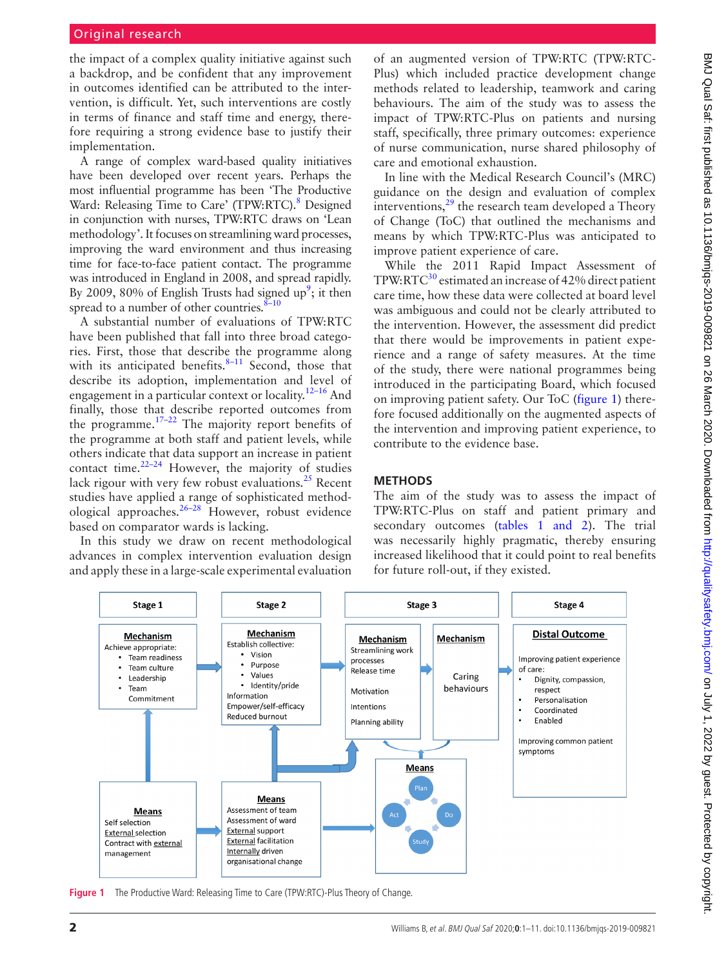the impact of a complex quality initiative against such a backdrop, and be confident that any improvement in outcomes identified can be attributed to the intervention, is difficult. Yet, such interventions are costly in terms of finance and staff time and energy, therefore requiring a strong evidence base to justify their implementation.

A range of complex ward-based quality initiatives have been developed over recent years. Perhaps the most influential programme has been 'The Productive Ward: Releasing Time to Care' (TPW:RTC).<sup>8</sup> Designed in conjunction with nurses, TPW:RTC draws on 'Lean methodology'. It focuses on streamlining ward processes, improving the ward environment and thus increasing time for face-to-face patient contact. The programme was introduced in England in 2008, and spread rapidly. By 2009, 80% of English Trusts had signed up<sup>9</sup>; it then spread to a number of other countries. $8-10$ 

A substantial number of evaluations of TPW:RTC have been published that fall into three broad categories. First, those that describe the programme along with its anticipated benefits. $8-11$  Second, those that describe its adoption, implementation and level of engagement in a particular context or locality.<sup>12-16</sup> And finally, those that describe reported outcomes from the programme. $17-22$  The majority report benefits of the programme at both staff and patient levels, while others indicate that data support an increase in patient contact time. $22-24$  However, the majority of studies lack rigour with very few robust evaluations. $^{25}$  $^{25}$  $^{25}$  Recent studies have applied a range of sophisticated methodological approaches. $26-28$  However, robust evidence based on comparator wards is lacking.

In this study we draw on recent methodological advances in complex intervention evaluation design and apply these in a large-scale experimental evaluation

of an augmented version of TPW:RTC (TPW:RTC-Plus) which included practice development change methods related to leadership, teamwork and caring behaviours. The aim of the study was to assess the impact of TPW:RTC-Plus on patients and nursing staff, specifically, three primary outcomes: experience of nurse communication, nurse shared philosophy of care and emotional exhaustion.

In line with the Medical Research Council's (MRC) guidance on the design and evaluation of complex interventions, $^{29}$  the research team developed a Theory of Change (ToC) that outlined the mechanisms and means by which TPW:RTC-Plus was anticipated to improve patient experience of care.

While the 2011 Rapid Impact Assessment of  $TPW:RTC<sup>30</sup>$  estimated an increase of 42% direct patient care time, how these data were collected at board level was ambiguous and could not be clearly attributed to the intervention. However, the assessment did predict that there would be improvements in patient experience and a range of safety measures. At the time of the study, there were national programmes being introduced in the participating Board, which focused on improving patient safety. Our ToC ([figure](#page-1-0) 1) therefore focused additionally on the augmented aspects of the intervention and improving patient experience, to contribute to the evidence base.

## **Methods**

The aim of the study was to assess the impact of TPW:RTC-Plus on staff and patient primary and secondary outcomes (tables [1 and 2\)](#page-2-0). The trial was necessarily highly pragmatic, thereby ensuring increased likelihood that it could point to real benefits for future roll-out, if they existed.



<span id="page-1-0"></span>**Figure 1** The Productive Ward: Releasing Time to Care (TPW:RTC)-Plus Theory of Change.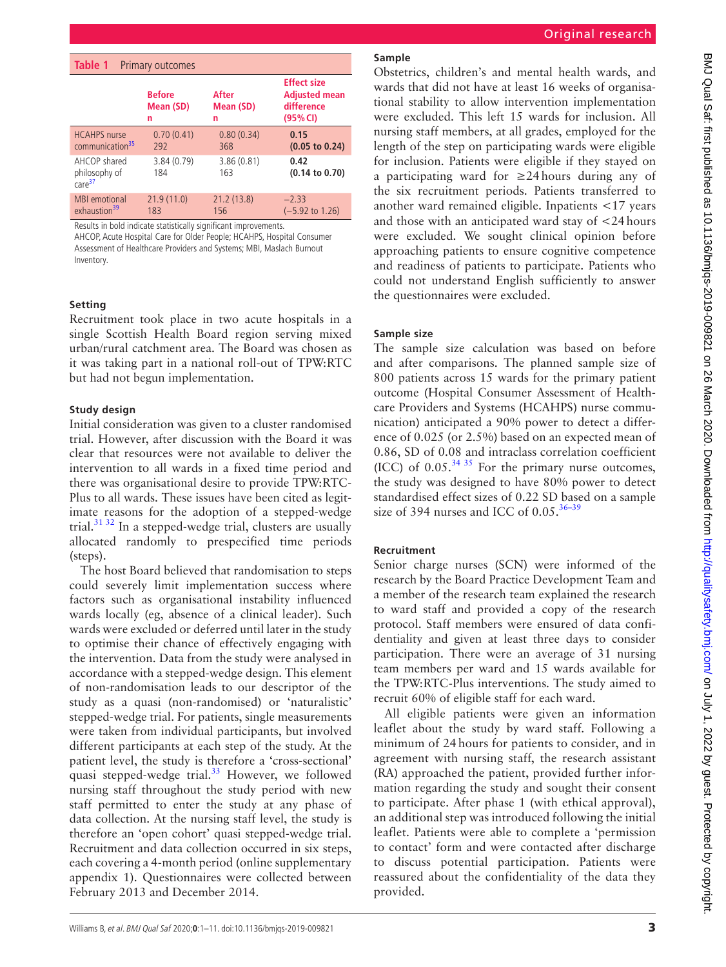<span id="page-2-0"></span>

| Table 1<br><b>Primary outcomes</b>                  |                                 |                         |                                                                      |  |  |  |  |
|-----------------------------------------------------|---------------------------------|-------------------------|----------------------------------------------------------------------|--|--|--|--|
|                                                     | <b>Before</b><br>Mean (SD)<br>n | After<br>Mean (SD)<br>n | <b>Effect size</b><br><b>Adjusted mean</b><br>difference<br>(95% CI) |  |  |  |  |
| <b>HCAHPS</b> nurse<br>communication <sup>35</sup>  | 0.70(0.41)<br>292               | 0.80(0.34)<br>368       | 0.15<br>$(0.05$ to $0.24)$                                           |  |  |  |  |
| AHCOP shared<br>philosophy of<br>care <sup>37</sup> | 3.84 (0.79)<br>184              | 3.86(0.81)<br>163       | 0.42<br>$(0.14 \text{ to } 0.70)$                                    |  |  |  |  |
| <b>MBI</b> emotional<br>exhaustion <sup>39</sup>    | 21.9(11.0)<br>183               | 21.2(13.8)<br>156       | $-2.33$<br>$(-5.92 \text{ to } 1.26)$                                |  |  |  |  |

Results in bold indicate statistically significant improvements.

AHCOP, Acute Hospital Care for Older People; HCAHPS, Hospital Consumer Assessment of Healthcare Providers and Systems; MBI, Maslach Burnout Inventory.

#### **Setting**

Recruitment took place in two acute hospitals in a single Scottish Health Board region serving mixed urban/rural catchment area. The Board was chosen as it was taking part in a national roll-out of TPW:RTC but had not begun implementation.

#### **Study design**

Initial consideration was given to a cluster randomised trial. However, after discussion with the Board it was clear that resources were not available to deliver the intervention to all wards in a fixed time period and there was organisational desire to provide TPW:RTC-Plus to all wards. These issues have been cited as legitimate reasons for the adoption of a stepped-wedge trial. $3132$  In a stepped-wedge trial, clusters are usually allocated randomly to prespecified time periods (steps).

The host Board believed that randomisation to steps could severely limit implementation success where factors such as organisational instability influenced wards locally (eg, absence of a clinical leader). Such wards were excluded or deferred until later in the study to optimise their chance of effectively engaging with the intervention. Data from the study were analysed in accordance with a stepped-wedge design. This element of non-randomisation leads to our descriptor of the study as a quasi (non-randomised) or 'naturalistic' stepped-wedge trial. For patients, single measurements were taken from individual participants, but involved different participants at each step of the study. At the patient level, the study is therefore a 'cross-sectional' quasi stepped-wedge trial.<sup>33</sup> However, we followed nursing staff throughout the study period with new staff permitted to enter the study at any phase of data collection. At the nursing staff level, the study is therefore an 'open cohort' quasi stepped-wedge trial. Recruitment and data collection occurred in six steps, each covering a 4-month period ([online supplementary](https://dx.doi.org/10.1136/bmjqs-2019-009821)  [appendix 1\)](https://dx.doi.org/10.1136/bmjqs-2019-009821). Questionnaires were collected between February 2013 and December 2014.

## **Sample**

Obstetrics, children's and mental health wards, and wards that did not have at least 16 weeks of organisational stability to allow intervention implementation were excluded. This left 15 wards for inclusion. All nursing staff members, at all grades, employed for the length of the step on participating wards were eligible for inclusion. Patients were eligible if they stayed on a participating ward for ≥24hours during any of the six recruitment periods. Patients transferred to another ward remained eligible. Inpatients <17 years and those with an anticipated ward stay of <24hours were excluded. We sought clinical opinion before approaching patients to ensure cognitive competence and readiness of patients to participate. Patients who could not understand English sufficiently to answer the questionnaires were excluded.

#### **Sample size**

The sample size calculation was based on before and after comparisons. The planned sample size of 800 patients across 15 wards for the primary patient outcome (Hospital Consumer Assessment of Healthcare Providers and Systems (HCAHPS) nurse communication) anticipated a 90% power to detect a difference of 0.025 (or 2.5%) based on an expected mean of 0.86, SD of 0.08 and intraclass correlation coefficient (ICC) of  $0.05$ .<sup>[34 35](#page-10-8)</sup> For the primary nurse outcomes, the study was designed to have 80% power to detect standardised effect sizes of 0.22 SD based on a sample size of 394 nurses and ICC of  $0.05^{36-39}$ 

#### **Recruitment**

Senior charge nurses (SCN) were informed of the research by the Board Practice Development Team and a member of the research team explained the research to ward staff and provided a copy of the research protocol. Staff members were ensured of data confidentiality and given at least three days to consider participation. There were an average of 31 nursing team members per ward and 15 wards available for the TPW:RTC-Plus interventions. The study aimed to recruit 60% of eligible staff for each ward.

All eligible patients were given an information leaflet about the study by ward staff. Following a minimum of 24 hours for patients to consider, and in agreement with nursing staff, the research assistant (RA) approached the patient, provided further information regarding the study and sought their consent to participate. After phase 1 (with ethical approval), an additional step was introduced following the initial leaflet. Patients were able to complete a 'permission to contact' form and were contacted after discharge to discuss potential participation. Patients were reassured about the confidentiality of the data they provided.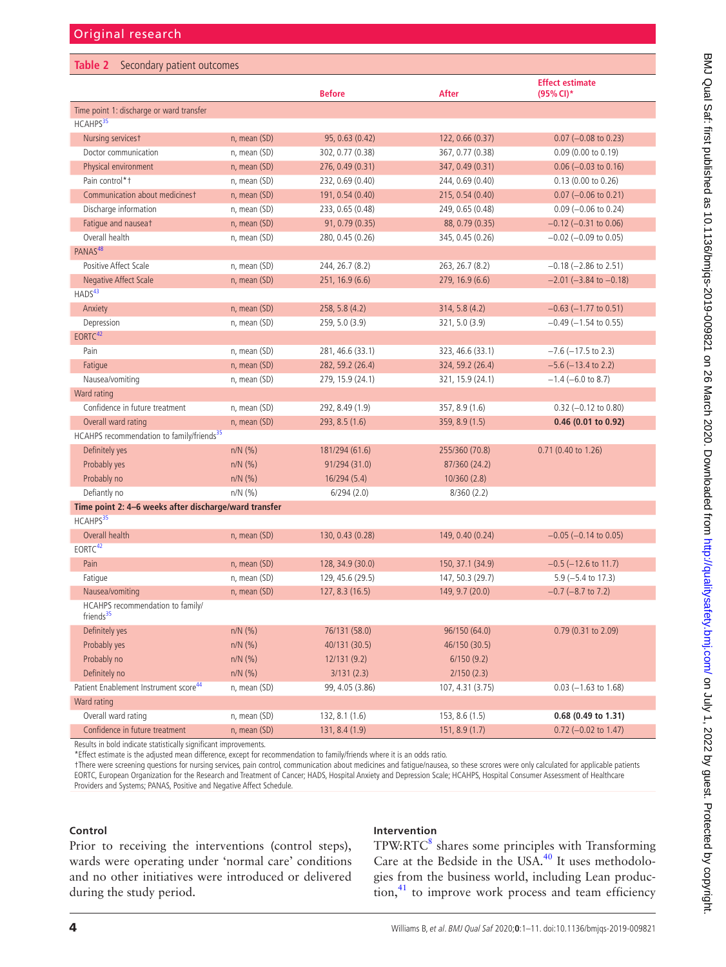#### <span id="page-3-0"></span>**Table 2** Secondary patient outcomes

|                                                           |                   | <b>Before</b>    | <b>After</b>     | <b>Effect estimate</b><br>(95% CI)* |
|-----------------------------------------------------------|-------------------|------------------|------------------|-------------------------------------|
| Time point 1: discharge or ward transfer                  |                   |                  |                  |                                     |
| HCAHPS <sup>35</sup>                                      |                   |                  |                  |                                     |
| Nursing servicest                                         | n, mean (SD)      | 95, 0.63 (0.42)  | 122, 0.66 (0.37) | $0.07$ (-0.08 to 0.23)              |
| Doctor communication                                      | n, mean (SD)      | 302, 0.77 (0.38) | 367, 0.77 (0.38) | $0.09$ (0.00 to 0.19)               |
| Physical environment                                      | n, mean (SD)      | 276, 0.49 (0.31) | 347, 0.49 (0.31) | $0.06$ (-0.03 to 0.16)              |
| Pain control*+                                            | n, mean (SD)      | 232, 0.69 (0.40) | 244, 0.69 (0.40) | $0.13$ (0.00 to 0.26)               |
| Communication about medicinest                            | n, mean (SD)      | 191, 0.54 (0.40) | 215, 0.54 (0.40) | $0.07$ (-0.06 to 0.21)              |
| Discharge information                                     | n, mean (SD)      | 233, 0.65 (0.48) | 249, 0.65 (0.48) | $0.09$ (-0.06 to 0.24)              |
| Fatique and nauseat                                       | n, mean (SD)      | 91, 0.79 (0.35)  | 88, 0.79 (0.35)  | $-0.12$ ( $-0.31$ to 0.06)          |
| Overall health                                            | n, mean (SD)      | 280, 0.45 (0.26) | 345, 0.45 (0.26) | $-0.02$ ( $-0.09$ to 0.05)          |
| PANAS <sup>48</sup>                                       |                   |                  |                  |                                     |
| Positive Affect Scale                                     | n, mean (SD)      | 244, 26.7 (8.2)  | 263, 26.7 (8.2)  | $-0.18$ ( $-2.86$ to 2.51)          |
| Negative Affect Scale                                     | n, mean (SD)      | 251, 16.9 (6.6)  | 279, 16.9 (6.6)  | $-2.01$ ( $-3.84$ to $-0.18$ )      |
| HADS <sup>43</sup>                                        |                   |                  |                  |                                     |
| Anxiety                                                   | n, mean (SD)      | 258, 5.8 (4.2)   | 314, 5.8 (4.2)   | $-0.63$ ( $-1.77$ to 0.51)          |
| Depression                                                | n, mean (SD)      | 259, 5.0 (3.9)   | 321, 5.0 (3.9)   | $-0.49$ ( $-1.54$ to 0.55)          |
| EORTC <sup>42</sup>                                       |                   |                  |                  |                                     |
| Pain                                                      | n, mean (SD)      | 281, 46.6 (33.1) | 323, 46.6 (33.1) | $-7.6$ ( $-17.5$ to 2.3)            |
| Fatigue                                                   | n, mean (SD)      | 282, 59.2 (26.4) | 324, 59.2 (26.4) | $-5.6$ ( $-13.4$ to 2.2)            |
| Nausea/vomiting                                           | n, mean (SD)      | 279, 15.9 (24.1) | 321, 15.9 (24.1) | $-1.4$ (-6.0 to 8.7)                |
| Ward rating                                               |                   |                  |                  |                                     |
| Confidence in future treatment                            | n, mean (SD)      | 292, 8.49 (1.9)  | 357, 8.9 (1.6)   | $0.32$ (-0.12 to 0.80)              |
| Overall ward rating                                       | n, mean (SD)      | 293, 8.5(1.6)    | 359, 8.9 (1.5)   | 0.46 (0.01 to 0.92)                 |
| HCAHPS recommendation to family/friends <sup>35</sup>     |                   |                  |                  |                                     |
| Definitely yes                                            | $n/N$ (%)         | 181/294 (61.6)   | 255/360 (70.8)   | 0.71 (0.40 to 1.26)                 |
| Probably yes                                              | $n/N$ (%)         | 91/294 (31.0)    | 87/360 (24.2)    |                                     |
| Probably no                                               | $n/N$ (%)         | 16/294(5.4)      | 10/360(2.8)      |                                     |
| Defiantly no                                              | $n/N$ (%)         | 6/294(2.0)       | 8/360(2.2)       |                                     |
| Time point 2: 4-6 weeks after discharge/ward transfer     |                   |                  |                  |                                     |
| HCAHPS <sup>35</sup>                                      |                   |                  |                  |                                     |
| Overall health                                            | n, mean (SD)      | 130, 0.43 (0.28) | 149, 0.40 (0.24) | $-0.05$ ( $-0.14$ to 0.05)          |
| EORTC <sup>42</sup>                                       |                   |                  |                  |                                     |
| Pain                                                      | $n$ , mean $(SD)$ | 128, 34.9 (30.0) | 150, 37.1 (34.9) | $-0.5$ ( $-12.6$ to 11.7)           |
| Fatigue                                                   | n, mean (SD)      | 129, 45.6 (29.5) | 147, 50.3 (29.7) | $5.9(-5.4 \text{ to } 17.3)$        |
| Nausea/vomiting                                           | n, mean (SD)      | 127, 8.3(16.5)   | 149, 9.7 (20.0)  | $-0.7$ ( $-8.7$ to 7.2)             |
| HCAHPS recommendation to family/<br>friends <sup>35</sup> |                   |                  |                  |                                     |
| Definitely yes                                            | $n/N$ (%)         | 76/131 (58.0)    | 96/150 (64.0)    | 0.79 (0.31 to 2.09)                 |
| Probably yes                                              | $n/N$ (%)         | 40/131 (30.5)    | 46/150 (30.5)    |                                     |
| Probably no                                               | $n/N$ (%)         | 12/131(9.2)      | 6/150(9.2)       |                                     |
| Definitely no                                             | $n/N$ (%)         | 3/131(2.3)       | 2/150(2.3)       |                                     |
| Patient Enablement Instrument score <sup>44</sup>         | n, mean (SD)      | 99, 4.05 (3.86)  | 107, 4.31 (3.75) | $0.03$ (-1.63 to 1.68)              |
| Ward rating                                               |                   |                  |                  |                                     |
| Overall ward rating                                       | n, mean (SD)      | 132, 8.1 (1.6)   | 153, 8.6 (1.5)   | 0.68 (0.49 to 1.31)                 |
| Confidence in future treatment                            | n, mean (SD)      | 131, 8.4(1.9)    | 151, 8.9(1.7)    | $0.72$ (-0.02 to 1.47)              |

Results in bold indicate statistically significant improvements.

\*Effect estimate is the adjusted mean difference, except for recommendation to family/friends where it is an odds ratio.

†There were screening questions for nursing services, pain control, communication about medicines and fatigue/nausea, so these scrores were only calculated for applicable patients EORTC, European Organization for the Research and Treatment of Cancer; HADS, Hospital Anxiety and Depression Scale; HCAHPS, Hospital Consumer Assessment of Healthcare Providers and Systems; PANAS, Positive and Negative Affect Schedule.

### **Control**

Prior to receiving the interventions (control steps), wards were operating under 'normal care' conditions and no other initiatives were introduced or delivered during the study period.

# **Intervention**

 $TPW:$ RTC $<sup>8</sup>$  $<sup>8</sup>$  $<sup>8</sup>$  shares some principles with Transforming</sup> Care at the Bedside in the USA. $40$  It uses methodologies from the business world, including Lean produc- $\text{tion},^{41}$  to improve work process and team efficiency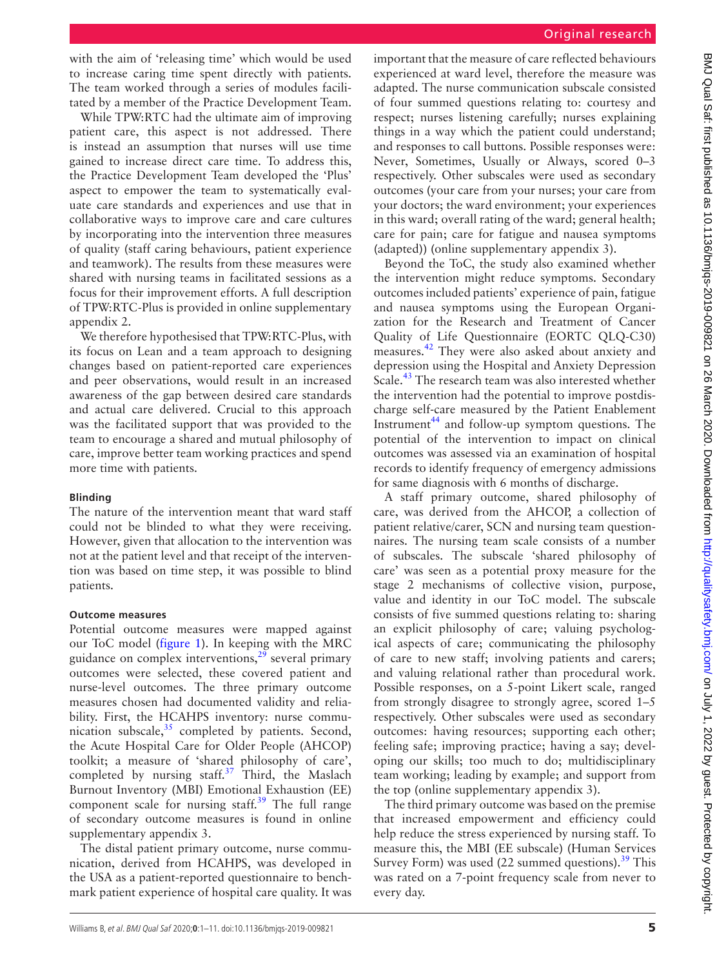with the aim of 'releasing time' which would be used to increase caring time spent directly with patients. The team worked through a series of modules facilitated by a member of the Practice Development Team.

While TPW:RTC had the ultimate aim of improving patient care, this aspect is not addressed. There is instead an assumption that nurses will use time gained to increase direct care time. To address this, the Practice Development Team developed the 'Plus' aspect to empower the team to systematically evaluate care standards and experiences and use that in collaborative ways to improve care and care cultures by incorporating into the intervention three measures of quality (staff caring behaviours, patient experience and teamwork). The results from these measures were shared with nursing teams in facilitated sessions as a focus for their improvement efforts. A full description of TPW:RTC-Plus is provided in [online supplementary](https://dx.doi.org/10.1136/bmjqs-2019-009821)  [appendix 2](https://dx.doi.org/10.1136/bmjqs-2019-009821).

We therefore hypothesised that TPW:RTC-Plus, with its focus on Lean and a team approach to designing changes based on patient-reported care experiences and peer observations, would result in an increased awareness of the gap between desired care standards and actual care delivered. Crucial to this approach was the facilitated support that was provided to the team to encourage a shared and mutual philosophy of care, improve better team working practices and spend more time with patients.

#### **Blinding**

The nature of the intervention meant that ward staff could not be blinded to what they were receiving. However, given that allocation to the intervention was not at the patient level and that receipt of the intervention was based on time step, it was possible to blind patients.

## **Outcome measures**

Potential outcome measures were mapped against our ToC model [\(figure](#page-1-0) 1). In keeping with the MRC guidance on complex interventions, $2^9$  several primary outcomes were selected, these covered patient and nurse-level outcomes. The three primary outcome measures chosen had documented validity and reliability. First, the HCAHPS inventory: nurse communication subscale, $35$  completed by patients. Second, the Acute Hospital Care for Older People (AHCOP) toolkit; a measure of 'shared philosophy of care', completed by nursing staff. $37$  Third, the Maslach Burnout Inventory (MBI) Emotional Exhaustion (EE) component scale for nursing staff. $39$  The full range of secondary outcome measures is found in [online](https://dx.doi.org/10.1136/bmjqs-2019-009821)  [supplementary appendix 3.](https://dx.doi.org/10.1136/bmjqs-2019-009821)

The distal patient primary outcome, nurse communication, derived from HCAHPS, was developed in the USA as a patient-reported questionnaire to benchmark patient experience of hospital care quality. It was important that the measure of care reflected behaviours experienced at ward level, therefore the measure was adapted. The nurse communication subscale consisted of four summed questions relating to: courtesy and respect; nurses listening carefully; nurses explaining things in a way which the patient could understand; and responses to call buttons. Possible responses were: Never, Sometimes, Usually or Always, scored 0–3 respectively. Other subscales were used as secondary outcomes (your care from your nurses; your care from your doctors; the ward environment; your experiences in this ward; overall rating of the ward; general health; care for pain; care for fatigue and nausea symptoms (adapted)) ([online supplementary appendix 3](https://dx.doi.org/10.1136/bmjqs-2019-009821)).

Beyond the ToC, the study also examined whether the intervention might reduce symptoms. Secondary outcomes included patients' experience of pain, fatigue and nausea symptoms using the European Organization for the Research and Treatment of Cancer Quality of Life Questionnaire (EORTC QLQ-C30) measures[.42](#page-10-12) They were also asked about anxiety and depression using the Hospital and Anxiety Depression Scale.<sup>[43](#page-10-11)</sup> The research team was also interested whether the intervention had the potential to improve postdischarge self-care measured by the Patient Enablement Instrument<sup>[44](#page-10-13)</sup> and follow-up symptom questions. The potential of the intervention to impact on clinical outcomes was assessed via an examination of hospital records to identify frequency of emergency admissions for same diagnosis with 6 months of discharge.

A staff primary outcome, shared philosophy of care, was derived from the AHCOP, a collection of patient relative/carer, SCN and nursing team questionnaires. The nursing team scale consists of a number of subscales. The subscale 'shared philosophy of care' was seen as a potential proxy measure for the stage 2 mechanisms of collective vision, purpose, value and identity in our ToC model. The subscale consists of five summed questions relating to: sharing an explicit philosophy of care; valuing psychological aspects of care; communicating the philosophy of care to new staff; involving patients and carers; and valuing relational rather than procedural work. Possible responses, on a 5-point Likert scale, ranged from strongly disagree to strongly agree, scored 1–5 respectively. Other subscales were used as secondary outcomes: having resources; supporting each other; feeling safe; improving practice; having a say; developing our skills; too much to do; multidisciplinary team working; leading by example; and support from the top [\(online supplementary appendix 3\)](https://dx.doi.org/10.1136/bmjqs-2019-009821).

The third primary outcome was based on the premise that increased empowerment and efficiency could help reduce the stress experienced by nursing staff. To measure this, the MBI (EE subscale) (Human Services Survey Form) was used  $(22 \text{ summed questions})$ .<sup>39</sup> This was rated on a 7-point frequency scale from never to every day.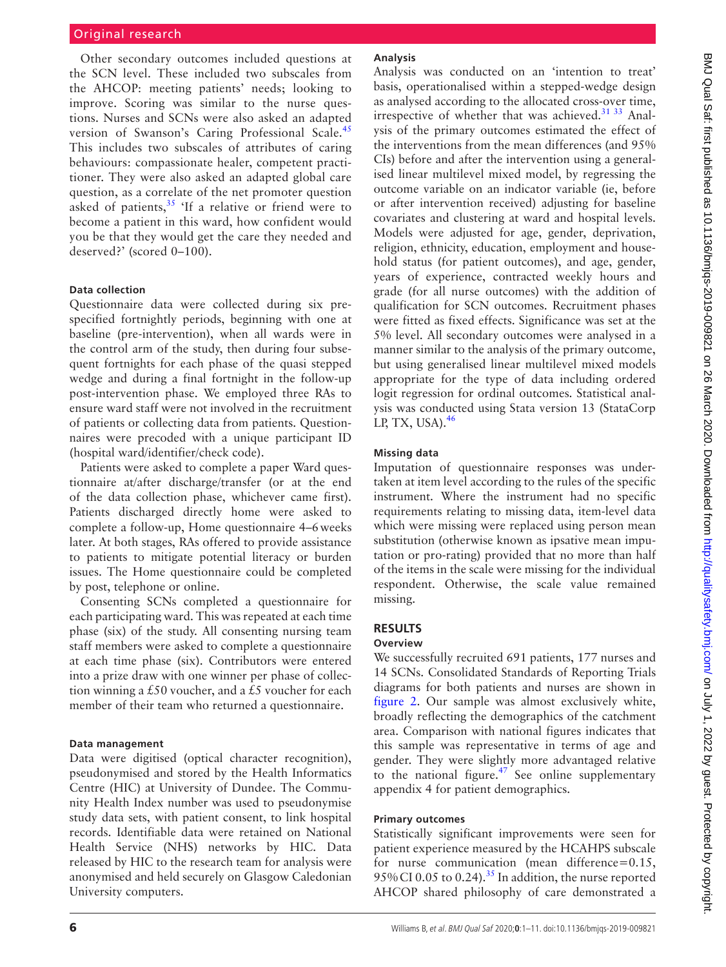Other secondary outcomes included questions at the SCN level. These included two subscales from the AHCOP: meeting patients' needs; looking to improve. Scoring was similar to the nurse questions. Nurses and SCNs were also asked an adapted version of Swanson's Caring Professional Scale.<sup>[45](#page-10-16)</sup> This includes two subscales of attributes of caring behaviours: compassionate healer, competent practitioner. They were also asked an adapted global care question, as a correlate of the net promoter question asked of patients, $35$  'If a relative or friend were to become a patient in this ward, how confident would you be that they would get the care they needed and deserved?' (scored 0–100).

#### **Data collection**

Questionnaire data were collected during six prespecified fortnightly periods, beginning with one at baseline (pre-intervention), when all wards were in the control arm of the study, then during four subsequent fortnights for each phase of the quasi stepped wedge and during a final fortnight in the follow-up post-intervention phase. We employed three RAs to ensure ward staff were not involved in the recruitment of patients or collecting data from patients. Questionnaires were precoded with a unique participant ID (hospital ward/identifier/check code).

Patients were asked to complete a paper Ward questionnaire at/after discharge/transfer (or at the end of the data collection phase, whichever came first). Patients discharged directly home were asked to complete a follow-up, Home questionnaire 4–6weeks later. At both stages, RAs offered to provide assistance to patients to mitigate potential literacy or burden issues. The Home questionnaire could be completed by post, telephone or online.

Consenting SCNs completed a questionnaire for each participating ward. This was repeated at each time phase (six) of the study. All consenting nursing team staff members were asked to complete a questionnaire at each time phase (six). Contributors were entered into a prize draw with one winner per phase of collection winning a £50 voucher, and a £5 voucher for each member of their team who returned a questionnaire.

#### **Data management**

Data were digitised (optical character recognition), pseudonymised and stored by the Health Informatics Centre (HIC) at University of Dundee. The Community Health Index number was used to pseudonymise study data sets, with patient consent, to link hospital records. Identifiable data were retained on National Health Service (NHS) networks by HIC. Data released by HIC to the research team for analysis were anonymised and held securely on Glasgow Caledonian University computers.

### **Analysis**

Analysis was conducted on an 'intention to treat' basis, operationalised within a stepped-wedge design as analysed according to the allocated cross-over time, irrespective of whether that was achieved.<sup>[31 33](#page-10-6)</sup> Analysis of the primary outcomes estimated the effect of the interventions from the mean differences (and 95% CIs) before and after the intervention using a generalised linear multilevel mixed model, by regressing the outcome variable on an indicator variable (ie, before or after intervention received) adjusting for baseline covariates and clustering at ward and hospital levels. Models were adjusted for age, gender, deprivation, religion, ethnicity, education, employment and household status (for patient outcomes), and age, gender, years of experience, contracted weekly hours and grade (for all nurse outcomes) with the addition of qualification for SCN outcomes. Recruitment phases were fitted as fixed effects. Significance was set at the 5% level. All secondary outcomes were analysed in a manner similar to the analysis of the primary outcome, but using generalised linear multilevel mixed models appropriate for the type of data including ordered logit regression for ordinal outcomes. Statistical analysis was conducted using Stata version 13 (StataCorp LP, TX, USA). $46$ 

#### **Missing data**

Imputation of questionnaire responses was undertaken at item level according to the rules of the specific instrument. Where the instrument had no specific requirements relating to missing data, item-level data which were missing were replaced using person mean substitution (otherwise known as ipsative mean imputation or pro-rating) provided that no more than half of the items in the scale were missing for the individual respondent. Otherwise, the scale value remained missing.

# **Results**

# **Overview**

We successfully recruited 691 patients, 177 nurses and 14 SCNs. Consolidated Standards of Reporting Trials diagrams for both patients and nurses are shown in [figure](#page-6-0) 2. Our sample was almost exclusively white, broadly reflecting the demographics of the catchment area. Comparison with national figures indicates that this sample was representative in terms of age and gender. They were slightly more advantaged relative to the national figure. $47$  See [online supplementary](https://dx.doi.org/10.1136/bmjqs-2019-009821) [appendix 4](https://dx.doi.org/10.1136/bmjqs-2019-009821) for patient demographics.

## **Primary outcomes**

Statistically significant improvements were seen for patient experience measured by the HCAHPS subscale for nurse communication (mean difference=0.15, 95% CI 0.05 to 0.24).<sup>[35](#page-10-3)</sup> In addition, the nurse reported AHCOP shared philosophy of care demonstrated a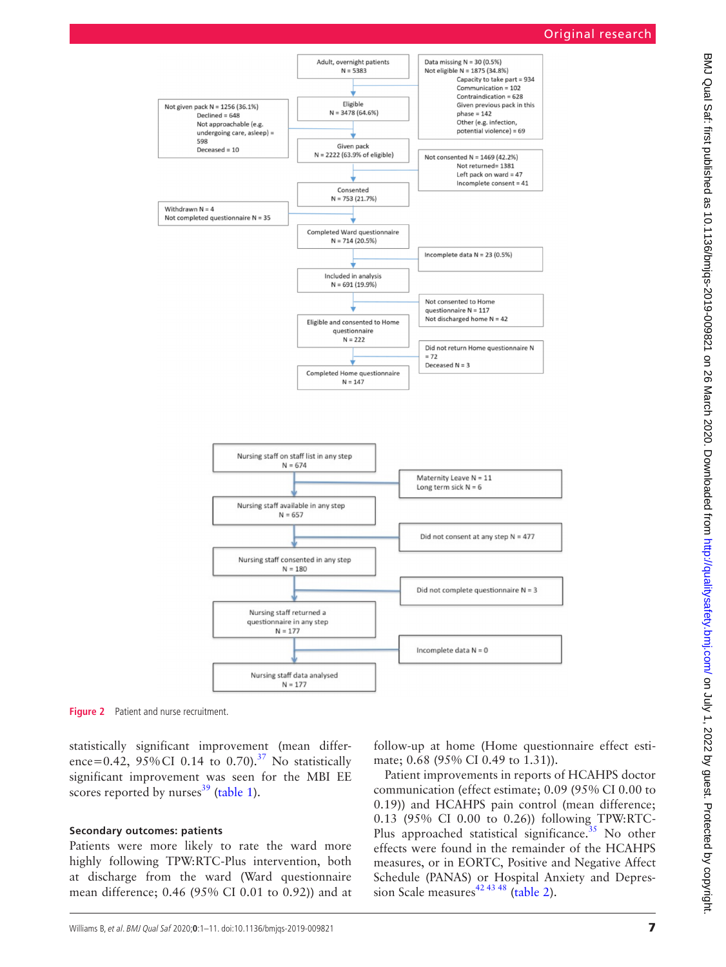

**Figure 2** Patient and nurse recruitment.

statistically significant improvement (mean difference=0.42,  $95\%$ CI 0.14 to 0.70).<sup>37</sup> No statistically significant improvement was seen for the MBI EE scores reported by nurses $39$  ([table](#page-2-0) 1).

#### **Secondary outcomes: patients**

Patients were more likely to rate the ward more highly following TPW:RTC-Plus intervention, both at discharge from the ward (Ward questionnaire mean difference; 0.46 (95% CI 0.01 to 0.92)) and at

<span id="page-6-0"></span>follow-up at home (Home questionnaire effect estimate; 0.68 (95% CI 0.49 to 1.31)).

Patient improvements in reports of HCAHPS doctor communication (effect estimate; 0.09 (95% CI 0.00 to 0.19)) and HCAHPS pain control (mean difference; 0.13 (95% CI 0.00 to 0.26)) following TPW:RTC-Plus approached statistical significance.<sup>[35](#page-10-3)</sup> No other effects were found in the remainder of the HCAHPS measures, or in EORTC, Positive and Negative Affect Schedule (PANAS) or Hospital Anxiety and Depres-sion Scale measures<sup>42 43 48</sup> [\(table](#page-3-0) 2).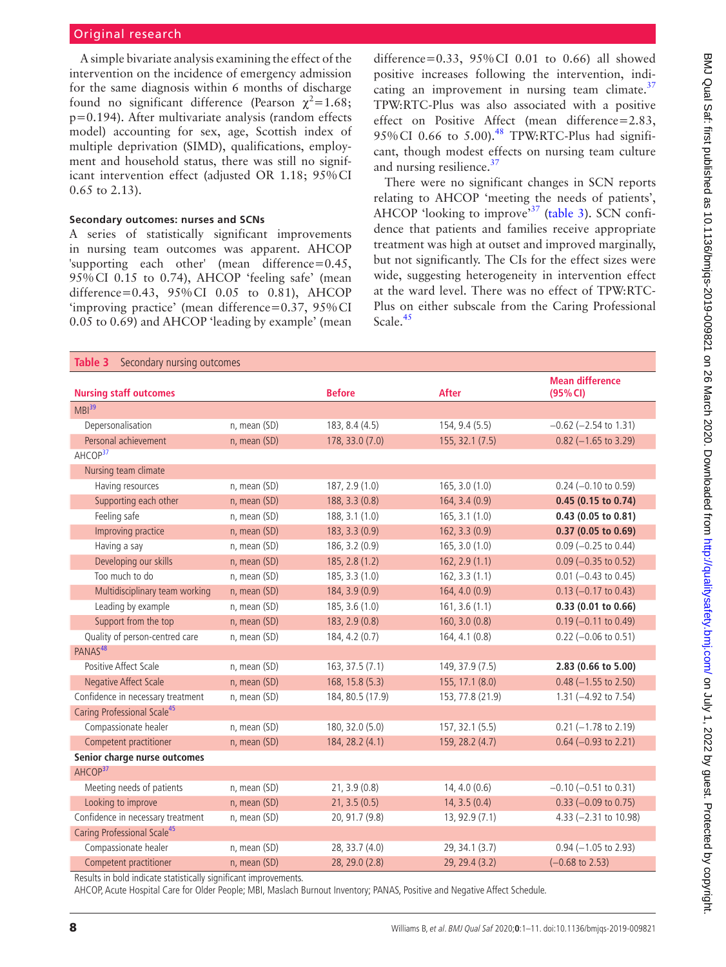A simple bivariate analysis examining the effect of the intervention on the incidence of emergency admission for the same diagnosis within 6 months of discharge found no significant difference (Pearson  $\chi^2$ =1.68; p=0.194). After multivariate analysis (random effects model) accounting for sex, age, Scottish index of multiple deprivation (SIMD), qualifications, employment and household status, there was still no significant intervention effect (adjusted OR 1.18; 95%CI 0.65 to 2.13).

## **Secondary outcomes: nurses and SCNs**

A series of statistically significant improvements in nursing team outcomes was apparent. AHCOP 'supporting each other' (mean difference=0.45, 95%CI 0.15 to 0.74), AHCOP 'feeling safe' (mean difference=0.43, 95%CI 0.05 to 0.81), AHCOP 'improving practice' (mean difference=0.37, 95%CI 0.05 to 0.69) and AHCOP 'leading by example' (mean

difference=0.33, 95%CI 0.01 to 0.66) all showed positive increases following the intervention, indicating an improvement in nursing team climate. $37$ TPW:RTC-Plus was also associated with a positive effect on Positive Affect (mean difference=2.83, 95% CI 0.66 to 5.00). $48$  TPW:RTC-Plus had significant, though modest effects on nursing team culture and nursing resilience.<sup>37</sup>

There were no significant changes in SCN reports relating to AHCOP 'meeting the needs of patients', AHCOP 'looking to improve'<sup>[37](#page-10-4)</sup> [\(table](#page-7-0) 3). SCN confidence that patients and families receive appropriate treatment was high at outset and improved marginally, but not significantly. The CIs for the effect sizes were wide, suggesting heterogeneity in intervention effect at the ward level. There was no effect of TPW:RTC-Plus on either subscale from the Caring Professional Scale.<sup>[45](#page-10-16)</sup>

<span id="page-7-0"></span>

| Table 3<br>Secondary nursing outcomes   |              |                  |                  |                                    |  |  |  |
|-----------------------------------------|--------------|------------------|------------------|------------------------------------|--|--|--|
| <b>Nursing staff outcomes</b>           |              | <b>Before</b>    | <b>After</b>     | <b>Mean difference</b><br>(95% CI) |  |  |  |
| MBI <sup>39</sup>                       |              |                  |                  |                                    |  |  |  |
| Depersonalisation                       | n, mean (SD) | 183, 8.4 (4.5)   | 154, 9.4 (5.5)   | $-0.62$ ( $-2.54$ to 1.31)         |  |  |  |
| Personal achievement                    | n, mean (SD) | 178, 33.0 (7.0)  | 155, 32.1 (7.5)  | $0.82$ (-1.65 to 3.29)             |  |  |  |
| AHCOP <sup>37</sup>                     |              |                  |                  |                                    |  |  |  |
| Nursing team climate                    |              |                  |                  |                                    |  |  |  |
| Having resources                        | n, mean (SD) | 187, 2.9 (1.0)   | 165, 3.0 (1.0)   | $0.24 (-0.10 \text{ to } 0.59)$    |  |  |  |
| Supporting each other                   | n, mean (SD) | 188, 3.3 (0.8)   | 164, 3.4 (0.9)   | 0.45 (0.15 to 0.74)                |  |  |  |
| Feeling safe                            | n, mean (SD) | 188, 3.1 (1.0)   | 165, 3.1 (1.0)   | 0.43 (0.05 to 0.81)                |  |  |  |
| Improving practice                      | n, mean (SD) | 183, 3.3 (0.9)   | 162, 3.3(0.9)    | 0.37(0.05 to 0.69)                 |  |  |  |
| Having a say                            | n, mean (SD) | 186, 3.2 (0.9)   | 165, 3.0 (1.0)   | $0.09$ (-0.25 to 0.44)             |  |  |  |
| Developing our skills                   | n, mean (SD) | 185, 2.8 (1.2)   | 162, 2.9(1.1)    | $0.09$ (-0.35 to 0.52)             |  |  |  |
| Too much to do                          | n, mean (SD) | 185, 3.3 (1.0)   | 162, 3.3(1.1)    | $0.01$ (-0.43 to 0.45)             |  |  |  |
| Multidisciplinary team working          | n, mean (SD) | 184, 3.9 (0.9)   | 164, 4.0 (0.9)   | $0.13$ (-0.17 to 0.43)             |  |  |  |
| Leading by example                      | n, mean (SD) | 185, 3.6 (1.0)   | 161, 3.6(1.1)    | 0.33 (0.01 to 0.66)                |  |  |  |
| Support from the top                    | n, mean (SD) | 183, 2.9 (0.8)   | 160, 3.0 (0.8)   | $0.19$ (-0.11 to 0.49)             |  |  |  |
| Quality of person-centred care          | n, mean (SD) | 184, 4.2 (0.7)   | 164, 4.1 (0.8)   | $0.22$ (-0.06 to 0.51)             |  |  |  |
| PANAS <sup>48</sup>                     |              |                  |                  |                                    |  |  |  |
| Positive Affect Scale                   | n, mean (SD) | 163, 37.5 (7.1)  | 149, 37.9 (7.5)  | 2.83 (0.66 to 5.00)                |  |  |  |
| <b>Negative Affect Scale</b>            | n, mean (SD) | 168, 15.8 (5.3)  | 155, 17.1 (8.0)  | $0.48$ (-1.55 to 2.50)             |  |  |  |
| Confidence in necessary treatment       | n, mean (SD) | 184, 80.5 (17.9) | 153, 77.8 (21.9) | 1.31 (-4.92 to 7.54)               |  |  |  |
| Caring Professional Scale <sup>45</sup> |              |                  |                  |                                    |  |  |  |
| Compassionate healer                    | n, mean (SD) | 180, 32.0 (5.0)  | 157, 32.1 (5.5)  | $0.21$ (-1.78 to 2.19)             |  |  |  |
| Competent practitioner                  | n, mean (SD) | 184, 28.2 (4.1)  | 159, 28.2 (4.7)  | $0.64 (-0.93 to 2.21)$             |  |  |  |
| Senior charge nurse outcomes            |              |                  |                  |                                    |  |  |  |
| AHCOP <sup>37</sup>                     |              |                  |                  |                                    |  |  |  |
| Meeting needs of patients               | n, mean (SD) | 21, 3.9(0.8)     | 14, 4.0(0.6)     | $-0.10$ ( $-0.51$ to 0.31)         |  |  |  |
| Looking to improve                      | n, mean (SD) | 21, 3.5(0.5)     | 14, 3.5(0.4)     | $0.33 (-0.09 \text{ to } 0.75)$    |  |  |  |
| Confidence in necessary treatment       | n, mean (SD) | 20, 91.7 (9.8)   | 13, 92.9 (7.1)   | 4.33 (-2.31 to 10.98)              |  |  |  |
| Caring Professional Scale <sup>45</sup> |              |                  |                  |                                    |  |  |  |
| Compassionate healer                    | n, mean (SD) | 28, 33.7 (4.0)   | 29, 34.1 (3.7)   | $0.94 (-1.05$ to 2.93)             |  |  |  |
| Competent practitioner                  | n, mean (SD) | 28, 29.0 (2.8)   | 29, 29.4 (3.2)   | $(-0.68 \text{ to } 2.53)$         |  |  |  |

Results in bold indicate statistically significant improvements.

AHCOP, Acute Hospital Care for Older People; MBI, Maslach Burnout Inventory; PANAS, Positive and Negative Affect Schedule.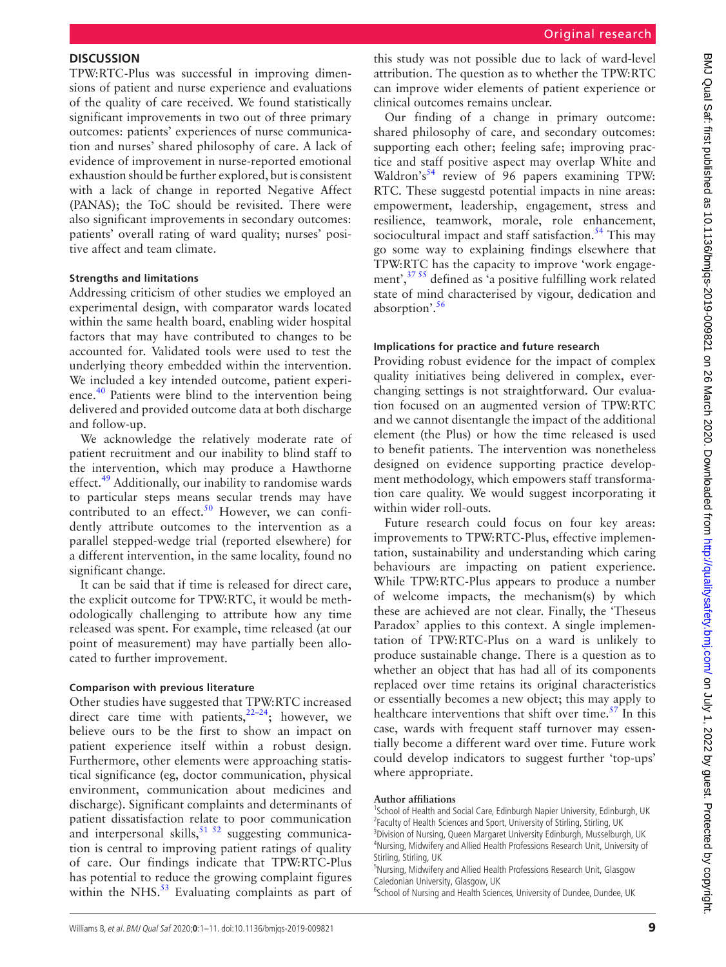TPW:RTC-Plus was successful in improving dimensions of patient and nurse experience and evaluations of the quality of care received. We found statistically significant improvements in two out of three primary outcomes: patients' experiences of nurse communication and nurses' shared philosophy of care. A lack of evidence of improvement in nurse-reported emotional exhaustion should be further explored, but is consistent with a lack of change in reported Negative Affect (PANAS); the ToC should be revisited. There were also significant improvements in secondary outcomes: patients' overall rating of ward quality; nurses' positive affect and team climate.

#### **Strengths and limitations**

Addressing criticism of other studies we employed an experimental design, with comparator wards located within the same health board, enabling wider hospital factors that may have contributed to changes to be accounted for. Validated tools were used to test the underlying theory embedded within the intervention. We included a key intended outcome, patient experience.<sup>40</sup> Patients were blind to the intervention being delivered and provided outcome data at both discharge and follow-up.

We acknowledge the relatively moderate rate of patient recruitment and our inability to blind staff to the intervention, which may produce a Hawthorne effect.<sup>49</sup> Additionally, our inability to randomise wards to particular steps means secular trends may have contributed to an effect.<sup>50</sup> However, we can confidently attribute outcomes to the intervention as a parallel stepped-wedge trial (reported elsewhere) for a different intervention, in the same locality, found no significant change.

It can be said that if time is released for direct care, the explicit outcome for TPW:RTC, it would be methodologically challenging to attribute how any time released was spent. For example, time released (at our point of measurement) may have partially been allocated to further improvement.

#### **Comparison with previous literature**

Other studies have suggested that TPW:RTC increased direct care time with patients, $22-24$ ; however, we believe ours to be the first to show an impact on patient experience itself within a robust design. Furthermore, other elements were approaching statistical significance (eg, doctor communication, physical environment, communication about medicines and discharge). Significant complaints and determinants of patient dissatisfaction relate to poor communication and interpersonal skills,  $51 \times 52$  suggesting communication is central to improving patient ratings of quality of care. Our findings indicate that TPW:RTC-Plus has potential to reduce the growing complaint figures within the NHS. $53$  Evaluating complaints as part of

this study was not possible due to lack of ward-level attribution. The question as to whether the TPW:RTC can improve wider elements of patient experience or clinical outcomes remains unclear.

Our finding of a change in primary outcome: shared philosophy of care, and secondary outcomes: supporting each other; feeling safe; improving practice and staff positive aspect may overlap White and Waldron's<sup>[54](#page-10-23)</sup> review of 96 papers examining TPW: RTC. These suggestd potential impacts in nine areas: empowerment, leadership, engagement, stress and resilience, teamwork, morale, role enhancement, sociocultural impact and staff satisfaction.<sup>[54](#page-10-23)</sup> This may go some way to explaining findings elsewhere that TPW:RTC has the capacity to improve 'work engagement',[37 55](#page-10-4) defined as 'a positive fulfilling work related state of mind characterised by vigour, dedication and absorption'[.56](#page-10-24)

# **Implications for practice and future research**

Providing robust evidence for the impact of complex quality initiatives being delivered in complex, everchanging settings is not straightforward. Our evaluation focused on an augmented version of TPW:RTC and we cannot disentangle the impact of the additional element (the Plus) or how the time released is used to benefit patients. The intervention was nonetheless designed on evidence supporting practice development methodology, which empowers staff transformation care quality. We would suggest incorporating it within wider roll-outs.

Future research could focus on four key areas: improvements to TPW:RTC-Plus, effective implementation, sustainability and understanding which caring behaviours are impacting on patient experience. While TPW:RTC-Plus appears to produce a number of welcome impacts, the mechanism(s) by which these are achieved are not clear. Finally, the 'Theseus Paradox' applies to this context. A single implementation of TPW:RTC-Plus on a ward is unlikely to produce sustainable change. There is a question as to whether an object that has had all of its components replaced over time retains its original characteristics or essentially becomes a new object; this may apply to healthcare interventions that shift over time. $57$  In this case, wards with frequent staff turnover may essentially become a different ward over time. Future work could develop indicators to suggest further 'top-ups' where appropriate.

# **Author affiliations**

<sup>1</sup>School of Health and Social Care, Edinburgh Napier University, Edinburgh, UK <sup>2</sup> Faculty of Health Sciences and Sport, University of Stirling, Stirling, UK <sup>3</sup> Division of Nursing, Queen Margaret University Edinburgh, Musselburgh, UK 4 Nursing, Midwifery and Allied Health Professions Research Unit, University of Stirling, Stirling, UK

5 Nursing, Midwifery and Allied Health Professions Research Unit, Glasgow Caledonian University, Glasgow, UK

<sup>6</sup>School of Nursing and Health Sciences, University of Dundee, Dundee, UK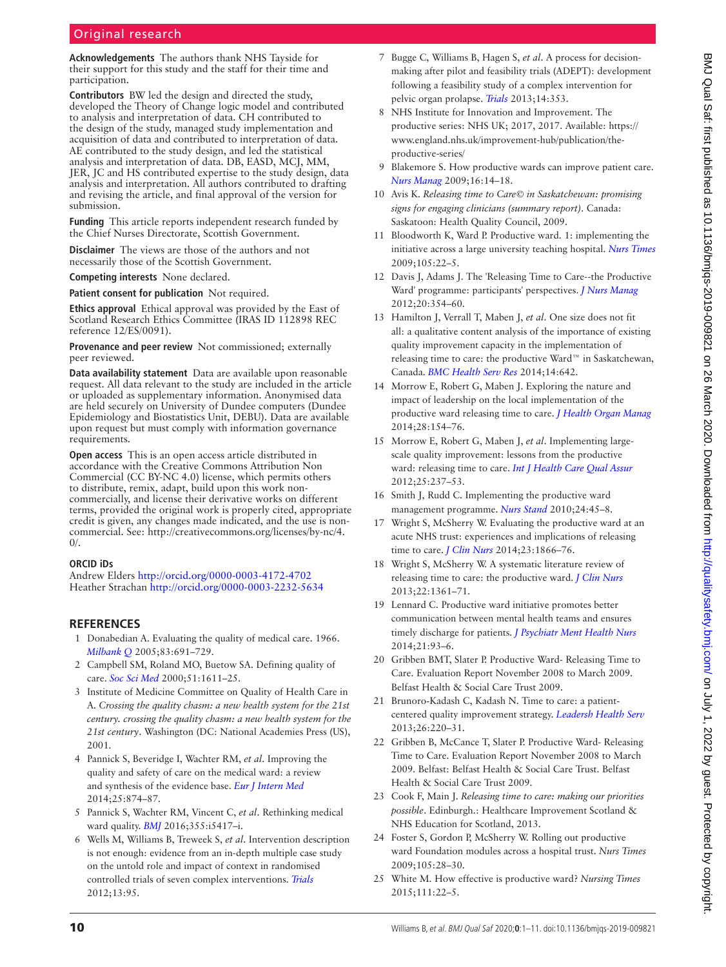**Acknowledgements** The authors thank NHS Tayside for their support for this study and the staff for their time and participation.

**Contributors** BW led the design and directed the study, developed the Theory of Change logic model and contributed to analysis and interpretation of data. CH contributed to the design of the study, managed study implementation and acquisition of data and contributed to interpretation of data. AE contributed to the study design, and led the statistical analysis and interpretation of data. DB, EASD, MCJ, MM, JER, JC and HS contributed expertise to the study design, data analysis and interpretation. All authors contributed to drafting and revising the article, and final approval of the version for submission.

**Funding** This article reports independent research funded by the Chief Nurses Directorate, Scottish Government.

**Disclaimer** The views are those of the authors and not necessarily those of the Scottish Government.

**Competing interests** None declared.

**Patient consent for publication** Not required.

**Ethics approval** Ethical approval was provided by the East of Scotland Research Ethics Committee (IRAS ID 112898 REC reference 12/ES/0091).

**Provenance and peer review** Not commissioned; externally peer reviewed.

**Data availability statement** Data are available upon reasonable request. All data relevant to the study are included in the article or uploaded as supplementary information. Anonymised data are held securely on University of Dundee computers (Dundee Epidemiology and Biostatistics Unit, DEBU). Data are available upon request but must comply with information governance requirements.

**Open access** This is an open access article distributed in accordance with the Creative Commons Attribution Non Commercial (CC BY-NC 4.0) license, which permits others to distribute, remix, adapt, build upon this work noncommercially, and license their derivative works on different terms, provided the original work is properly cited, appropriate credit is given, any changes made indicated, and the use is noncommercial. See: [http://creativecommons.org/licenses/by-nc/4.](http://creativecommons.org/licenses/by-nc/4.0/)  $0/$ .

#### **ORCID iDs**

Andrew Elders<http://orcid.org/0000-0003-4172-4702> Heather Strachan<http://orcid.org/0000-0003-2232-5634>

## **References**

- <span id="page-9-0"></span>1 Donabedian A. Evaluating the quality of medical care. 1966. *[Milbank Q](http://dx.doi.org/10.1111/j.1468-0009.2005.00397.x)* 2005;83:691–729.
- 2 Campbell SM, Roland MO, Buetow SA. Defining quality of care. *[Soc Sci Med](http://dx.doi.org/10.1016/S0277-9536(00)00057-5)* 2000;51:1611–25.
- <span id="page-9-1"></span>3 Institute of Medicine Committee on Quality of Health Care in A. *Crossing the quality chasm: a new health system for the 21st century. crossing the quality chasm: a new health system for the 21st century*. Washington (DC: National Academies Press (US), 2001.
- <span id="page-9-2"></span>4 Pannick S, Beveridge I, Wachter RM, *et al*. Improving the quality and safety of care on the medical ward: a review and synthesis of the evidence base. *[Eur J Intern Med](http://dx.doi.org/10.1016/j.ejim.2014.10.013)* 2014;25:874–87.
- <span id="page-9-3"></span>5 Pannick S, Wachter RM, Vincent C, *et al*. Rethinking medical ward quality. *[BMJ](http://dx.doi.org/10.1136/bmj.i5417)* 2016;355:i5417–i.
- <span id="page-9-4"></span>6 Wells M, Williams B, Treweek S, *et al*. Intervention description is not enough: evidence from an in-depth multiple case study on the untold role and impact of context in randomised controlled trials of seven complex interventions. *[Trials](http://dx.doi.org/10.1186/1745-6215-13-95)* 2012;13:95.
- <span id="page-9-5"></span>7 Bugge C, Williams B, Hagen S, *et al*. A process for decisionmaking after pilot and feasibility trials (ADEPT): development following a feasibility study of a complex intervention for pelvic organ prolapse. *[Trials](http://dx.doi.org/10.1186/1745-6215-14-353)* 2013;14:353.
- <span id="page-9-6"></span>8 NHS Institute for Innovation and Improvement. The productive series: NHS UK; 2017, 2017. Available: [https://](https://www.england.nhs.uk/improvement-hub/publication/the-productive-series/) [www.england.nhs.uk/improvement-hub/publication/the](https://www.england.nhs.uk/improvement-hub/publication/the-productive-series/)[productive-series/](https://www.england.nhs.uk/improvement-hub/publication/the-productive-series/)
- <span id="page-9-7"></span>9 Blakemore S. How productive wards can improve patient care. *[Nurs Manag](http://dx.doi.org/10.7748/nm2009.09.16.5.14.c7217)* 2009;16:14–18.
- 10 Avis K. *Releasing time to Care© in Saskatchewan: promising signs for engaging clinicians (summary report)*. Canada: Saskatoon: Health Quality Council, 2009.
- 11 Bloodworth K, Ward P. Productive ward. 1: implementing the initiative across a large university teaching hospital. *[Nurs Times](http://www.ncbi.nlm.nih.gov/pubmed/19601437)* 2009;105:22–5.
- <span id="page-9-8"></span>12 Davis J, Adams J. The 'Releasing Time to Care--the Productive Ward' programme: participants' perspectives. *[J Nurs Manag](http://dx.doi.org/10.1111/j.1365-2834.2011.01266.x)* 2012;20:354–60.
- 13 Hamilton J, Verrall T, Maben J, *et al*. One size does not fit all: a qualitative content analysis of the importance of existing quality improvement capacity in the implementation of releasing time to care: the productive Ward™ in Saskatchewan, Canada. *[BMC Health Serv Res](http://dx.doi.org/10.1186/s12913-014-0642-x)* 2014;14:642.
- 14 Morrow E, Robert G, Maben J. Exploring the nature and impact of leadership on the local implementation of the productive ward releasing time to care. *[J Health Organ Manag](http://dx.doi.org/10.1108/JHOM-01-2013-0001)* 2014;28:154–76.
- 15 Morrow E, Robert G, Maben J, *et al*. Implementing largescale quality improvement: lessons from the productive ward: releasing time to care. *[Int J Health Care Qual Assur](http://dx.doi.org/10.1108/09526861211221464)* 2012;25:237–53.
- 16 Smith J, Rudd C. Implementing the productive ward management programme. *[Nurs Stand](http://dx.doi.org/10.7748/ns.24.31.45.s45)* 2010;24:45–8.
- <span id="page-9-9"></span>17 Wright S, McSherry W. Evaluating the productive ward at an acute NHS trust: experiences and implications of releasing time to care. *[J Clin Nurs](http://dx.doi.org/10.1111/jocn.12435)* 2014;23:1866–76.
- 18 Wright S, McSherry W. A systematic literature review of releasing time to care: the productive ward. *[J Clin Nurs](http://dx.doi.org/10.1111/jocn.12074)* 2013;22:1361–71.
- 19 Lennard C. Productive ward initiative promotes better communication between mental health teams and ensures timely discharge for patients. *[J Psychiatr Ment Health Nurs](http://dx.doi.org/10.1111/jpm.12020)* 2014;21:93–6.
- 20 Gribben BMT, Slater P. Productive Ward- Releasing Time to Care. Evaluation Report November 2008 to March 2009. Belfast Health & Social Care Trust 2009.
- 21 Brunoro‐Kadash C, Kadash N. Time to care: a patient‐ centered quality improvement strategy. *[Leadersh Health Serv](http://dx.doi.org/10.1108/LHS-02-2013-0011)* 2013;26:220–31.
- <span id="page-9-10"></span>22 Gribben B, McCance T, Slater P. Productive Ward- Releasing Time to Care. Evaluation Report November 2008 to March 2009. Belfast: Belfast Health & Social Care Trust. Belfast Health & Social Care Trust 2009.
- 23 Cook F, Main J. *Releasing time to care: making our priorities possible*. Edinburgh.: Healthcare Improvement Scotland & NHS Education for Scotland, 2013.
- 24 Foster S, Gordon P, McSherry W. Rolling out productive ward Foundation modules across a hospital trust. *Nurs Times* 2009;105:28–30.
- <span id="page-9-11"></span>25 White M. How effective is productive ward? *Nursing Times* 2015;111:22–5.